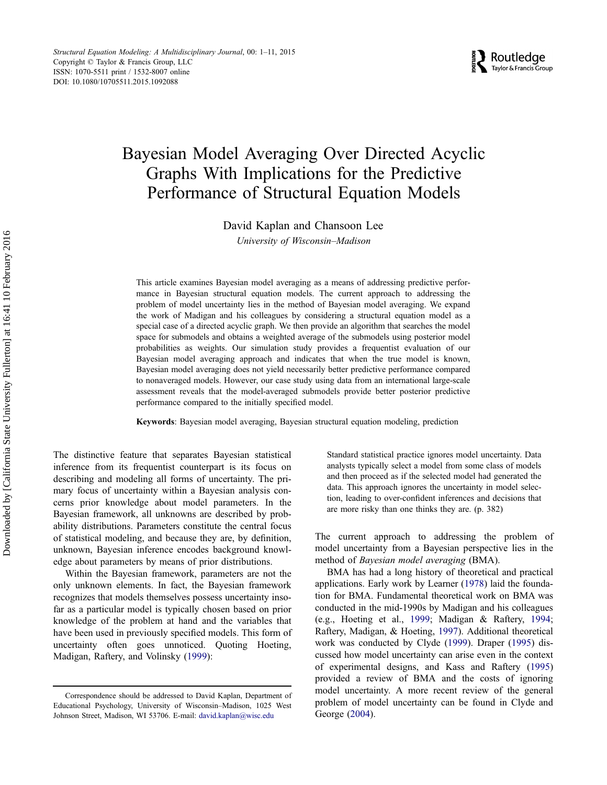

# Bayesian Model Averaging Over Directed Acyclic Graphs With Implications for the Predictive Performance of Structural Equation Models

David Kaplan and Chansoon Lee

University of Wisconsin–Madison

This article examines Bayesian model averaging as a means of addressing predictive performance in Bayesian structural equation models. The current approach to addressing the problem of model uncertainty lies in the method of Bayesian model averaging. We expand the work of Madigan and his colleagues by considering a structural equation model as a special case of a directed acyclic graph. We then provide an algorithm that searches the model space for submodels and obtains a weighted average of the submodels using posterior model probabilities as weights. Our simulation study provides a frequentist evaluation of our Bayesian model averaging approach and indicates that when the true model is known, Bayesian model averaging does not yield necessarily better predictive performance compared to nonaveraged models. However, our case study using data from an international large-scale assessment reveals that the model-averaged submodels provide better posterior predictive performance compared to the initially specified model.

Keywords: Bayesian model averaging, Bayesian structural equation modeling, prediction

The distinctive feature that separates Bayesian statistical inference from its frequentist counterpart is its focus on describing and modeling all forms of uncertainty. The primary focus of uncertainty within a Bayesian analysis concerns prior knowledge about model parameters. In the Bayesian framework, all unknowns are described by probability distributions. Parameters constitute the central focus of statistical modeling, and because they are, by definition, unknown, Bayesian inference encodes background knowledge about parameters by means of prior distributions.

Within the Bayesian framework, parameters are not the only unknown elements. In fact, the Bayesian framework recognizes that models themselves possess uncertainty insofar as a particular model is typically chosen based on prior knowledge of the problem at hand and the variables that have been used in previously specified models. This form of uncertainty often goes unnoticed. Quoting Hoeting, Madigan, Raftery, and Volinsky ([1999\)](#page-9-0):

Standard statistical practice ignores model uncertainty. Data analysts typically select a model from some class of models and then proceed as if the selected model had generated the data. This approach ignores the uncertainty in model selection, leading to over-confident inferences and decisions that are more risky than one thinks they are. (p. 382)

The current approach to addressing the problem of model uncertainty from a Bayesian perspective lies in the method of Bayesian model averaging (BMA).

BMA has had a long history of theoretical and practical applications. Early work by Learner ([1978](#page-9-0)) laid the foundation for BMA. Fundamental theoretical work on BMA was conducted in the mid-1990s by Madigan and his colleagues (e.g., Hoeting et al., [1999;](#page-9-0) Madigan & Raftery, [1994](#page-9-0); Raftery, Madigan, & Hoeting, [1997](#page-10-0)). Additional theoretical work was conducted by Clyde ([1999\)](#page-9-0). Draper [\(1995](#page-9-0)) discussed how model uncertainty can arise even in the context of experimental designs, and Kass and Raftery ([1995\)](#page-9-0) provided a review of BMA and the costs of ignoring model uncertainty. A more recent review of the general problem of model uncertainty can be found in Clyde and George [\(2004](#page-9-0)).

Correspondence should be addressed to David Kaplan, Department of Educational Psychology, University of Wisconsin–Madison, 1025 West Johnson Street, Madison, WI 53706. E-mail: david.kaplan@wisc.edu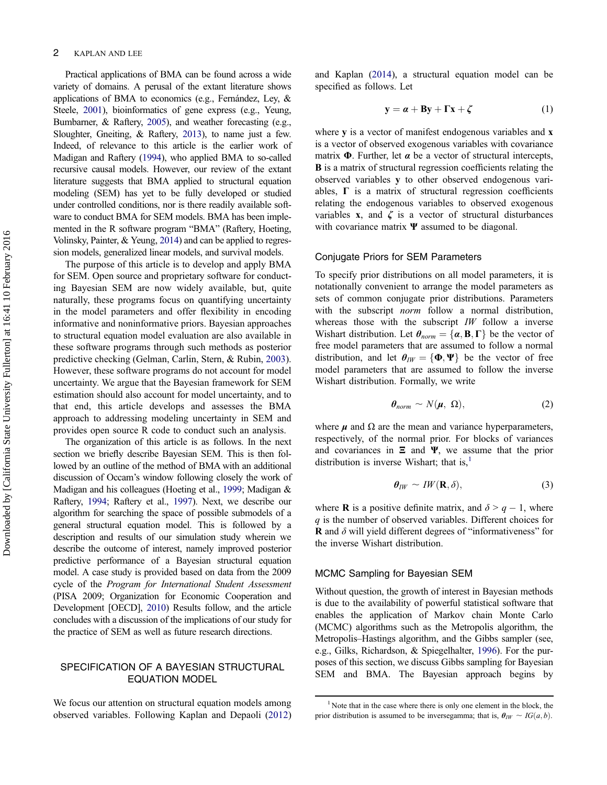## 2 KAPLAN AND LEE

Practical applications of BMA can be found across a wide variety of domains. A perusal of the extant literature shows applications of BMA to economics (e.g., Fernández, Ley, & Steele, [2001](#page-9-0)), bioinformatics of gene express (e.g., Yeung, Bumbarner, & Raftery, [2005\)](#page-10-0), and weather forecasting (e.g., Sloughter, Gneiting, & Raftery, [2013\)](#page-10-0), to name just a few. Indeed, of relevance to this article is the earlier work of Madigan and Raftery ([1994\)](#page-9-0), who applied BMA to so-called recursive causal models. However, our review of the extant literature suggests that BMA applied to structural equation modeling (SEM) has yet to be fully developed or studied under controlled conditions, nor is there readily available software to conduct BMA for SEM models. BMA has been implemented in the R software program "BMA" (Raftery, Hoeting, Volinsky, Painter, & Yeung, [2014](#page-10-0)) and can be applied to regression models, generalized linear models, and survival models.

The purpose of this article is to develop and apply BMA for SEM. Open source and proprietary software for conducting Bayesian SEM are now widely available, but, quite naturally, these programs focus on quantifying uncertainty in the model parameters and offer flexibility in encoding informative and noninformative priors. Bayesian approaches to structural equation model evaluation are also available in these software programs through such methods as posterior predictive checking (Gelman, Carlin, Stern, & Rubin, [2003](#page-9-0)). However, these software programs do not account for model uncertainty. We argue that the Bayesian framework for SEM estimation should also account for model uncertainty, and to that end, this article develops and assesses the BMA approach to addressing modeling uncertainty in SEM and provides open source R code to conduct such an analysis.

The organization of this article is as follows. In the next section we briefly describe Bayesian SEM. This is then followed by an outline of the method of BMA with an additional discussion of Occam's window following closely the work of Madigan and his colleagues (Hoeting et al., [1999;](#page-9-0) Madigan & Raftery, [1994;](#page-9-0) Raftery et al., [1997](#page-10-0)). Next, we describe our algorithm for searching the space of possible submodels of a general structural equation model. This is followed by a description and results of our simulation study wherein we describe the outcome of interest, namely improved posterior predictive performance of a Bayesian structural equation model. A case study is provided based on data from the 2009 cycle of the Program for International Student Assessment (PISA 2009; Organization for Economic Cooperation and Development [OECD], [2010](#page-9-0)) Results follow, and the article concludes with a discussion of the implications of our study for the practice of SEM as well as future research directions.

## SPECIFICATION OF A BAYESIAN STRUCTURAL EQUATION MODEL

We focus our attention on structural equation models among observed variables. Following Kaplan and Depaoli ([2012\)](#page-9-0) and Kaplan [\(2014](#page-9-0)), a structural equation model can be specified as follows. Let

$$
y = \alpha + By + \Gamma x + \zeta \tag{1}
$$

where y is a vector of manifest endogenous variables and **x** is a vector of observed exogenous variables with covariance matrix  $\Phi$ . Further, let  $\alpha$  be a vector of structural intercepts, B is a matrix of structural regression coefficients relating the observed variables y to other observed endogenous variables,  $\Gamma$  is a matrix of structural regression coefficients relating the endogenous variables to observed exogenous variables x, and  $\zeta$  is a vector of structural disturbances with covariance matrix  $\Psi$  assumed to be diagonal.

#### Conjugate Priors for SEM Parameters

To specify prior distributions on all model parameters, it is notationally convenient to arrange the model parameters as sets of common conjugate prior distributions. Parameters with the subscript norm follow a normal distribution, whereas those with the subscript  $IW$  follow a inverse Wishart distribution. Let  $\theta_{norm} = {\alpha, \mathbf{B}, \Gamma}$  be the vector of free model parameters that are assumed to follow a normal distribution, and let  $\theta_{IW} = {\Phi, \Psi}$  be the vector of free model parameters that are assumed to follow the inverse Wishart distribution. Formally, we write

$$
\theta_{norm} \sim N(\mu, \ \Omega), \tag{2}
$$

where  $\mu$  and  $\Omega$  are the mean and variance hyperparameters, respectively, of the normal prior. For blocks of variances and covariances in  $\Xi$  and  $\Psi$ , we assume that the prior distribution is inverse Wishart; that is, $\frac{1}{1}$ 

$$
\theta_{IW} \sim \textit{IW}(\mathbf{R}, \delta), \tag{3}
$$

where **R** is a positive definite matrix, and  $\delta > q - 1$ , where a is the number of observed variables. Different choices for  $q$  is the number of observed variables. Different choices for **R** and  $\delta$  will yield different degrees of "informativeness" for the inverse Wishart distribution.

#### MCMC Sampling for Bayesian SEM

Without question, the growth of interest in Bayesian methods is due to the availability of powerful statistical software that enables the application of Markov chain Monte Carlo (MCMC) algorithms such as the Metropolis algorithm, the Metropolis–Hastings algorithm, and the Gibbs sampler (see, e.g., Gilks, Richardson, & Spiegelhalter, [1996](#page-9-0)). For the purposes of this section, we discuss Gibbs sampling for Bayesian SEM and BMA. The Bayesian approach begins by

<sup>&</sup>lt;sup>1</sup> Note that in the case where there is only one element in the block, the prior distribution is assumed to be inversegamma; that is,  $\theta_{IW} \sim IG(a, b)$ .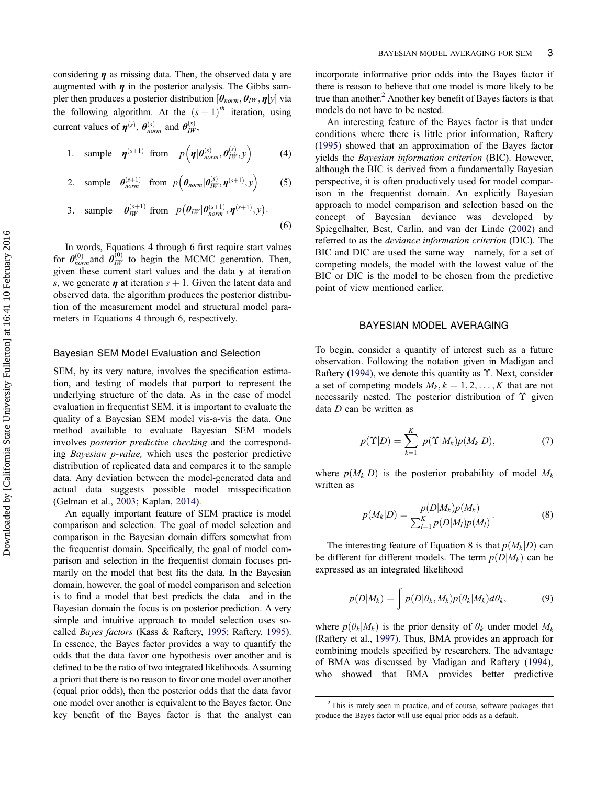considering  $\eta$  as missing data. Then, the observed data y are augmented with  $\eta$  in the posterior analysis. The Gibbs sampler then produces a posterior distribution  $[\theta_{norm}, \theta_{IW}, \eta | y]$  via the following algorithm. At the  $(s + 1)^{th}$  iteration, using current values of  $\boldsymbol{\eta}^{(s)}$ ,  $\boldsymbol{\theta}_{norm}^{(s)}$  and  $\boldsymbol{\theta}_{IW}^{(s)}$ ,

1. sample 
$$
\boldsymbol{\eta}^{(s+1)}
$$
 from  $p(\boldsymbol{\eta}|\boldsymbol{\theta}_{norm}^{(s)},\boldsymbol{\theta}_{IW}^{(s)},y)$  (4)

2. sample 
$$
\theta_{norm}^{(s+1)}
$$
 from  $p(\theta_{norm}|\theta_{IW}^{(s)}, \boldsymbol{\eta}^{(s+1)}, y)$  (5)

3. sample 
$$
\theta_{IW}^{(s+1)}
$$
 from  $p(\theta_{IW}|\theta_{norm}^{(s+1)}, \boldsymbol{\eta}^{(s+1)}, y)$ . (6)

In words, Equations 4 through 6 first require start values for  $\theta_{norm}^{(0)}$  and  $\theta_{IW}^{(0)}$  to begin the MCMC generation. Then, given these current start values and the data y at iteration s, we generate  $\eta$  at iteration  $s + 1$ . Given the latent data and observed data, the algorithm produces the posterior distribution of the measurement model and structural model parameters in Equations 4 through 6, respectively.

## Bayesian SEM Model Evaluation and Selection

SEM, by its very nature, involves the specification estimation, and testing of models that purport to represent the underlying structure of the data. As in the case of model evaluation in frequentist SEM, it is important to evaluate the quality of a Bayesian SEM model vis-a-vis the data. One method available to evaluate Bayesian SEM models involves posterior predictive checking and the corresponding Bayesian p-value, which uses the posterior predictive distribution of replicated data and compares it to the sample data. Any deviation between the model-generated data and actual data suggests possible model misspecification (Gelman et al., [2003](#page-9-0); Kaplan, [2014\)](#page-9-0).

An equally important feature of SEM practice is model comparison and selection. The goal of model selection and comparison in the Bayesian domain differs somewhat from the frequentist domain. Specifically, the goal of model comparison and selection in the frequentist domain focuses primarily on the model that best fits the data. In the Bayesian domain, however, the goal of model comparison and selection is to find a model that best predicts the data—and in the Bayesian domain the focus is on posterior prediction. A very simple and intuitive approach to model selection uses socalled Bayes factors (Kass & Raftery, [1995](#page-9-0); Raftery, [1995](#page-10-0)). In essence, the Bayes factor provides a way to quantify the odds that the data favor one hypothesis over another and is defined to be the ratio of two integrated likelihoods. Assuming a priori that there is no reason to favor one model over another (equal prior odds), then the posterior odds that the data favor one model over another is equivalent to the Bayes factor. One key benefit of the Bayes factor is that the analyst can

incorporate informative prior odds into the Bayes factor if there is reason to believe that one model is more likely to be true than another.<sup>2</sup> Another key benefit of Bayes factors is that models do not have to be nested.

An interesting feature of the Bayes factor is that under conditions where there is little prior information, Raftery [\(1995](#page-10-0)) showed that an approximation of the Bayes factor yields the Bayesian information criterion (BIC). However, although the BIC is derived from a fundamentally Bayesian perspective, it is often productively used for model comparison in the frequentist domain. An explicitly Bayesian approach to model comparison and selection based on the concept of Bayesian deviance was developed by Spiegelhalter, Best, Carlin, and van der Linde [\(2002](#page-10-0)) and referred to as the deviance information criterion (DIC). The BIC and DIC are used the same way—namely, for a set of competing models, the model with the lowest value of the BIC or DIC is the model to be chosen from the predictive point of view mentioned earlier.

### BAYESIAN MODEL AVERAGING

To begin, consider a quantity of interest such as a future observation. Following the notation given in Madigan and Raftery [\(1994](#page-9-0)), we denote this quantity as  $\Upsilon$ . Next, consider a set of competing models  $M_k$ ,  $k = 1, 2, \ldots, K$  that are not necessarily nested. The posterior distribution of  $\Upsilon$  given data  $D$  can be written as

$$
p(\Upsilon|D) = \sum_{k=1}^{K} p(\Upsilon|M_k)p(M_k|D), \qquad (7)
$$

where  $p(M_k|D)$  is the posterior probability of model  $M_k$ written as

$$
p(M_k|D) = \frac{p(D|M_k)p(M_k)}{\sum_{l=1}^{K} p(D|M_l)p(M_l)}.
$$
 (8)

The interesting feature of Equation 8 is that  $p(M_k|D)$  can be different for different models. The term  $p(D|M_k)$  can be expressed as an integrated likelihood

$$
p(D|M_k) = \int p(D|\theta_k, M_k)p(\theta_k|M_k)d\theta_k, \qquad (9)
$$

where  $p(\theta_k|M_k)$  is the prior density of  $\theta_k$  under model  $M_k$ (Raftery et al., [1997\)](#page-10-0). Thus, BMA provides an approach for combining models specified by researchers. The advantage of BMA was discussed by Madigan and Raftery ([1994](#page-9-0)), who showed that BMA provides better predictive

<sup>2</sup> This is rarely seen in practice, and of course, software packages that produce the Bayes factor will use equal prior odds as a default.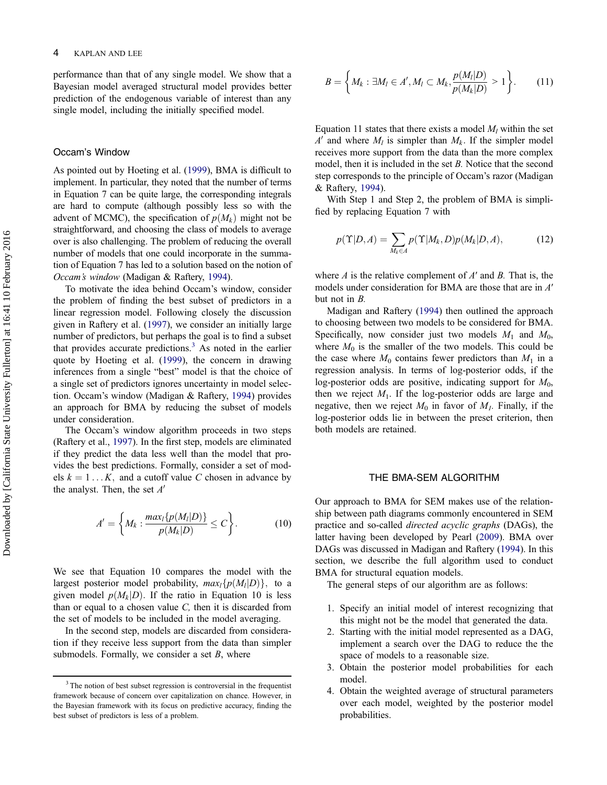performance than that of any single model. We show that a Bayesian model averaged structural model provides better prediction of the endogenous variable of interest than any single model, including the initially specified model.

## Occam's Window

As pointed out by Hoeting et al. ([1999\)](#page-9-0), BMA is difficult to implement. In particular, they noted that the number of terms in Equation 7 can be quite large, the corresponding integrals are hard to compute (although possibly less so with the advent of MCMC), the specification of  $p(M_k)$  might not be straightforward, and choosing the class of models to average over is also challenging. The problem of reducing the overall number of models that one could incorporate in the summation of Equation 7 has led to a solution based on the notion of Occam's window (Madigan & Raftery, [1994](#page-9-0)).

To motivate the idea behind Occam's window, consider the problem of finding the best subset of predictors in a linear regression model. Following closely the discussion given in Raftery et al. [\(1997](#page-10-0)), we consider an initially large number of predictors, but perhaps the goal is to find a subset that provides accurate predictions.<sup>3</sup> As noted in the earlier quote by Hoeting et al. ([1999\)](#page-9-0), the concern in drawing inferences from a single "best" model is that the choice of a single set of predictors ignores uncertainty in model selection. Occam's window (Madigan & Raftery, [1994\)](#page-9-0) provides an approach for BMA by reducing the subset of models under consideration.

The Occam's window algorithm proceeds in two steps (Raftery et al., [1997\)](#page-10-0). In the first step, models are eliminated if they predict the data less well than the model that provides the best predictions. Formally, consider a set of models  $k = 1... K$ , and a cutoff value C chosen in advance by the analyst. Then, the set  $A'$ 

$$
A' = \left\{ M_k : \frac{\max_l \{ p(M_l|D) \}}{p(M_k|D)} \le C \right\}.
$$
 (10)

We see that Equation 10 compares the model with the largest posterior model probability,  $max_l{p(M_l|D)}$ , to a given model  $p(M_k|D)$ . If the ratio in Equation 10 is less than or equal to a chosen value  $C$ , then it is discarded from the set of models to be included in the model averaging.

In the second step, models are discarded from consideration if they receive less support from the data than simpler submodels. Formally, we consider a set  $B$ , where

$$
B = \left\{ M_k : \exists M_l \in A', M_l \subset M_k, \frac{p(M_l|D)}{p(M_k|D)} > 1 \right\}.
$$
 (11)

Equation 11 states that there exists a model  $M_l$  within the set A' and where  $M_l$  is simpler than  $M_k$ . If the simpler model receives more support from the data than the more complex model, then it is included in the set B. Notice that the second step corresponds to the principle of Occam's razor (Madigan & Raftery, [1994\)](#page-9-0).

With Step 1 and Step 2, the problem of BMA is simplified by replacing Equation 7 with

$$
p(\Upsilon|D,A) = \sum_{M_k \in A} p(\Upsilon|M_k, D)p(M_k|D,A), \qquad (12)
$$

where  $A$  is the relative complement of  $A'$  and  $B$ . That is, the models under consideration for BMA are those that are in A′ but not in B.

Madigan and Raftery ([1994\)](#page-9-0) then outlined the approach to choosing between two models to be considered for BMA. Specifically, now consider just two models  $M_1$  and  $M_0$ , where  $M_0$  is the smaller of the two models. This could be the case where  $M_0$  contains fewer predictors than  $M_1$  in a regression analysis. In terms of log-posterior odds, if the log-posterior odds are positive, indicating support for  $M_0$ , then we reject  $M_1$ . If the log-posterior odds are large and negative, then we reject  $M_0$  in favor of  $M_1$ . Finally, if the log-posterior odds lie in between the preset criterion, then both models are retained.

### THE BMA-SEM ALGORITHM

Our approach to BMA for SEM makes use of the relationship between path diagrams commonly encountered in SEM practice and so-called directed acyclic graphs (DAGs), the latter having been developed by Pearl ([2009\)](#page-10-0). BMA over DAGs was discussed in Madigan and Raftery ([1994\)](#page-9-0). In this section, we describe the full algorithm used to conduct BMA for structural equation models.

The general steps of our algorithm are as follows:

- 1. Specify an initial model of interest recognizing that this might not be the model that generated the data.
- 2. Starting with the initial model represented as a DAG, implement a search over the DAG to reduce the the space of models to a reasonable size.
- 3. Obtain the posterior model probabilities for each model.
- 4. Obtain the weighted average of structural parameters over each model, weighted by the posterior model probabilities.

<sup>&</sup>lt;sup>3</sup> The notion of best subset regression is controversial in the frequentist framework because of concern over capitalization on chance. However, in the Bayesian framework with its focus on predictive accuracy, finding the best subset of predictors is less of a problem.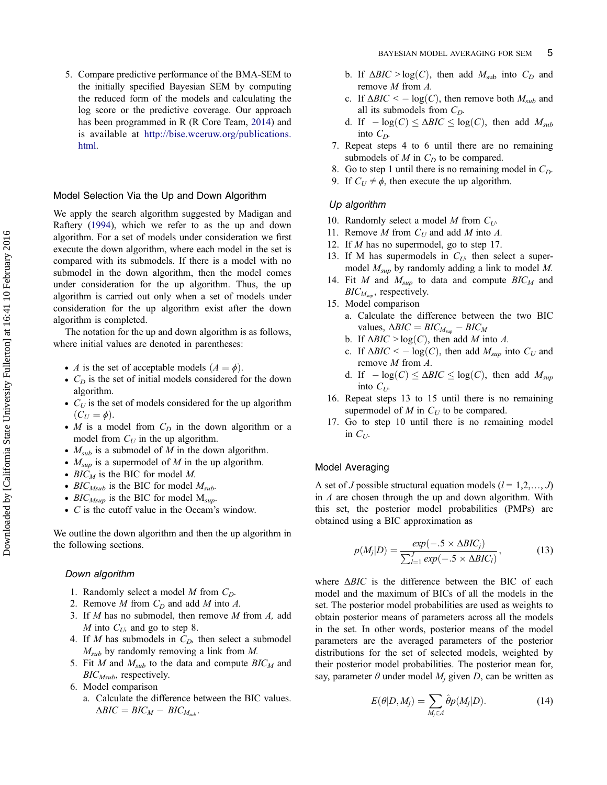5. Compare predictive performance of the BMA-SEM to the initially specified Bayesian SEM by computing the reduced form of the models and calculating the log score or the predictive coverage. Our approach has been programmed in R (R Core Team, [2014](#page-10-0)) and is available at [http://bise.wceruw.org/publications.](http://bise.wceruw.org/publications.html) [html.](http://bise.wceruw.org/publications.html)

#### Model Selection Via the Up and Down Algorithm

We apply the search algorithm suggested by Madigan and Raftery ([1994\)](#page-9-0), which we refer to as the up and down algorithm. For a set of models under consideration we first execute the down algorithm, where each model in the set is compared with its submodels. If there is a model with no submodel in the down algorithm, then the model comes under consideration for the up algorithm. Thus, the up algorithm is carried out only when a set of models under consideration for the up algorithm exist after the down algorithm is completed.

The notation for the up and down algorithm is as follows, where initial values are denoted in parentheses:

- A is the set of acceptable models  $(A = \phi)$ .
- $C_D$  is the set of initial models considered for the down algorithm.
- $C_U$  is the set of models considered for the up algorithm  $(C_U = \phi).$
- $M$  is a model from  $C_D$  in the down algorithm or a model from  $C_U$  in the up algorithm.
- $M_{sub}$  is a submodel of M in the down algorithm.
- $M_{\text{sup}}$  is a supermodel of M in the up algorithm.
- $BIC_M$  is the BIC for model M.
- $BIC_{Msub}$  is the BIC for model  $M_{sub}$ .
- $BIC_{Msup}$  is the BIC for model  $M_{sup}$ .
- C is the cutoff value in the Occam's window.

We outline the down algorithm and then the up algorithm in the following sections.

## Down algorithm

- 1. Randomly select a model M from  $C_D$ .
- 2. Remove M from  $C_D$  and add M into A.
- 3. If  $M$  has no submodel, then remove  $M$  from  $A$ , add M into  $C_U$ , and go to step 8.
- 4. If  $M$  has submodels in  $C_D$ , then select a submodel  $M<sub>sub</sub>$  by randomly removing a link from M.
- 5. Fit M and  $M_{sub}$  to the data and compute  $BIC_M$  and  $BIC_{Msub}$ , respectively.
- 6. Model comparison
	- a. Calculate the difference between the BIC values.  $\triangle BIC = BIC_M - BIC_{M_{sub}}.$
- b. If  $\Delta BIC > \log(C)$ , then add  $M_{sub}$  into  $C_D$  and remove M from A.
- c. If  $\Delta BIC \le -\log(C)$ , then remove both  $M_{sub}$  and all its submodels from  $C_{\rm B}$ all its submodels from  $C_D$ .
- d. If  $-\log(C) \le \Delta BIC \le \log(C)$ , then add  $M_{sub}$ into  $C_D$ .
- 7. Repeat steps 4 to 6 until there are no remaining submodels of  $M$  in  $C_D$  to be compared.
- 8. Go to step 1 until there is no remaining model in  $C_D$ .
- 9. If  $C_U \neq \phi$ , then execute the up algorithm.

## Up algorithm

- 10. Randomly select a model  $M$  from  $C_U$ .
- 11. Remove M from  $C_U$  and add M into A.
- 12. If *M* has no supermodel, go to step 17.
- 13. If M has supermodels in  $C_U$ , then select a supermodel  $M_{\text{sun}}$  by randomly adding a link to model M.
- 14. Fit M and  $M_{sup}$  to data and compute  $BIC_M$  and  $BIC_{M_{sup}}$ , respectively.
- 15. Model comparison
	- a. Calculate the difference between the two BIC values,  $\Delta BIC = BIC_{M_{\text{sup}}} - BIC_M$ <br>If  $\Delta BIC > \log(C)$  then add M in
	- b. If  $\Delta BIC > \log(C)$ , then add M into A.
	- c. If  $\Delta BIC \le -\log(C)$ , then add  $M_{sup}$  into  $C_U$  and remove M from A remove M from A.
	- d. If  $-\log(C) \le \Delta BIC \le \log(C)$ , then add  $M_{sup}$  into  $C_{\cdot}$ . into  $C_U$ .
- 16. Repeat steps 13 to 15 until there is no remaining supermodel of M in  $C_U$  to be compared.
- 17. Go to step 10 until there is no remaining model in  $C_{U}$ .

## Model Averaging

A set of *J* possible structural equation models  $(l = 1,2,..., J)$ in A are chosen through the up and down algorithm. With this set, the posterior model probabilities (PMPs) are obtained using a BIC approximation as

$$
p(M_j|D) = \frac{\exp(-.5 \times \Delta BIC_j)}{\sum_{l=1}^{J} \exp(-.5 \times \Delta BIC_l)},
$$
\n(13)

where  $\triangle BIC$  is the difference between the BIC of each model and the maximum of BICs of all the models in the set. The posterior model probabilities are used as weights to obtain posterior means of parameters across all the models in the set. In other words, posterior means of the model parameters are the averaged parameters of the posterior distributions for the set of selected models, weighted by their posterior model probabilities. The posterior mean for, say, parameter  $\theta$  under model  $M_i$  given D, can be written as

$$
E(\theta|D,M_j) = \sum_{M_j \in A} \hat{\theta}_p(M_j|D). \tag{14}
$$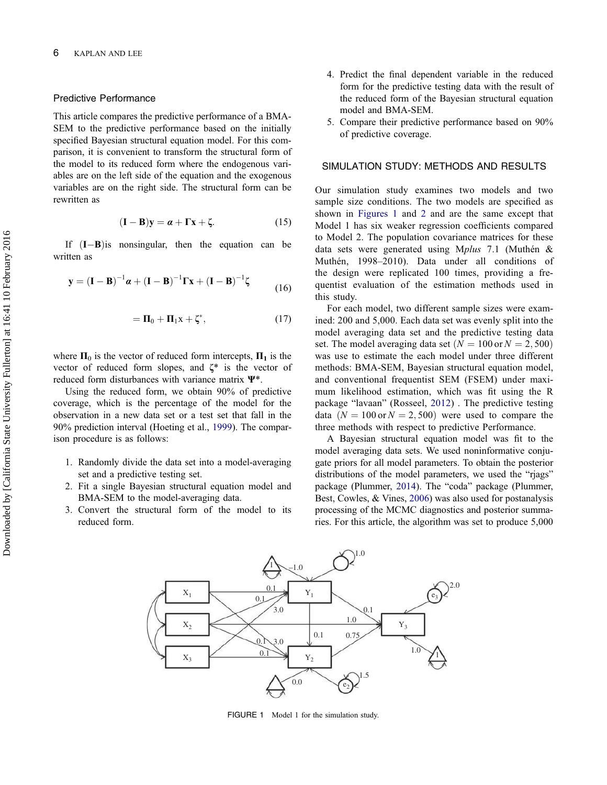## Predictive Performance

This article compares the predictive performance of a BMA-SEM to the predictive performance based on the initially specified Bayesian structural equation model. For this comparison, it is convenient to transform the structural form of the model to its reduced form where the endogenous variables are on the left side of the equation and the exogenous variables are on the right side. The structural form can be rewritten as

$$
(\mathbf{I} - \mathbf{B})\mathbf{y} = \boldsymbol{\alpha} + \boldsymbol{\Gamma}\mathbf{x} + \boldsymbol{\zeta}.\tag{15}
$$

If  $(I-B)$  is nonsingular, then the equation can be<br>itten as written as

$$
\mathbf{y} = (\mathbf{I} - \mathbf{B})^{-1}\mathbf{\alpha} + (\mathbf{I} - \mathbf{B})^{-1}\mathbf{\Gamma}\mathbf{x} + (\mathbf{I} - \mathbf{B})^{-1}\zeta
$$
 (16)

$$
= \Pi_0 + \Pi_1 x + \zeta^*, \qquad (17)
$$

where  $\Pi_0$  is the vector of reduced form intercepts,  $\Pi_1$  is the vector of reduced form slopes, and ζ\* is the vector of reduced form disturbances with variance matrix Ψ\*.

Using the reduced form, we obtain 90% of predictive coverage, which is the percentage of the model for the observation in a new data set or a test set that fall in the 90% prediction interval (Hoeting et al., [1999](#page-9-0)). The comparison procedure is as follows:

- 1. Randomly divide the data set into a model-averaging set and a predictive testing set.
- 2. Fit a single Bayesian structural equation model and BMA-SEM to the model-averaging data.
- 3. Convert the structural form of the model to its reduced form.
- 4. Predict the final dependent variable in the reduced form for the predictive testing data with the result of the reduced form of the Bayesian structural equation model and BMA-SEM.
- 5. Compare their predictive performance based on 90% of predictive coverage.

## SIMULATION STUDY: METHODS AND RESULTS

Our simulation study examines two models and two sample size conditions. The two models are specified as shown in Figures 1 and [2](#page-6-0) and are the same except that Model 1 has six weaker regression coefficients compared to Model 2. The population covariance matrices for these data sets were generated using Mplus 7.1 (Muthén & Muthén, 1998–2010). Data under all conditions of the design were replicated 100 times, providing a frequentist evaluation of the estimation methods used in this study.

For each model, two different sample sizes were examined: 200 and 5,000. Each data set was evenly split into the model averaging data set and the predictive testing data set. The model averaging data set  $(N = 100 \text{ or } N = 2,500)$ was use to estimate the each model under three different methods: BMA-SEM, Bayesian structural equation model, and conventional frequentist SEM (FSEM) under maximum likelihood estimation, which was fit using the R package "lavaan" (Rosseel, [2012\)](#page-10-0) . The predictive testing data  $(N = 100 \text{ or } N = 2,500)$  were used to compare the three methods with respect to predictive Performance.

A Bayesian structural equation model was fit to the model averaging data sets. We used noninformative conjugate priors for all model parameters. To obtain the posterior distributions of the model parameters, we used the "rjags" package (Plummer, [2014\)](#page-10-0). The "coda" package (Plummer, Best, Cowles, & Vines, [2006](#page-10-0)) was also used for postanalysis processing of the MCMC diagnostics and posterior summaries. For this article, the algorithm was set to produce 5,000



FIGURE 1 Model 1 for the simulation study.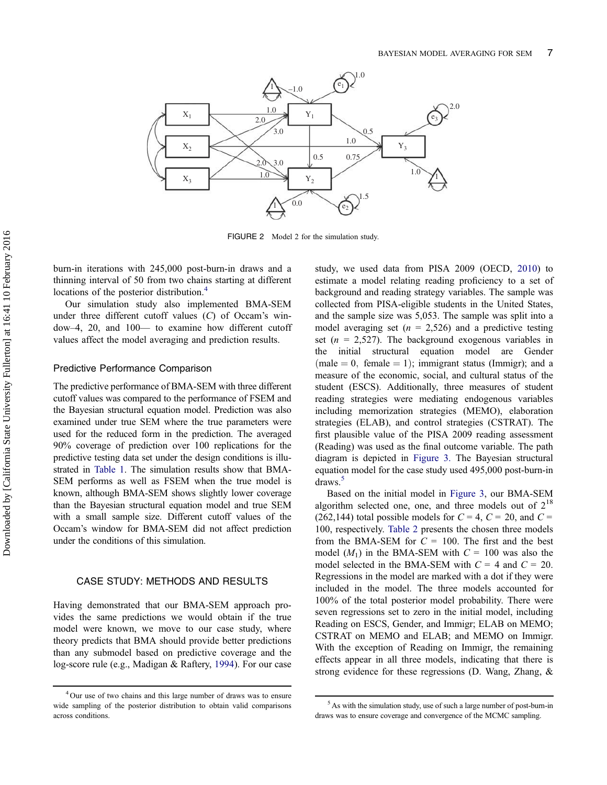<span id="page-6-0"></span>

FIGURE 2 Model 2 for the simulation study.

burn-in iterations with 245,000 post-burn-in draws and a thinning interval of 50 from two chains starting at different locations of the posterior distribution.<sup>4</sup>

Our simulation study also implemented BMA-SEM under three different cutoff values (C) of Occam's window–4, 20, and 100— to examine how different cutoff values affect the model averaging and prediction results.

#### Predictive Performance Comparison

The predictive performance of BMA-SEM with three different cutoff values was compared to the performance of FSEM and the Bayesian structural equation model. Prediction was also examined under true SEM where the true parameters were used for the reduced form in the prediction. The averaged 90% coverage of prediction over 100 replications for the predictive testing data set under the design conditions is illustrated in [Table 1](#page-7-0). The simulation results show that BMA-SEM performs as well as FSEM when the true model is known, although BMA-SEM shows slightly lower coverage than the Bayesian structural equation model and true SEM with a small sample size. Different cutoff values of the Occam's window for BMA-SEM did not affect prediction under the conditions of this simulation.

### CASE STUDY: METHODS AND RESULTS

Having demonstrated that our BMA-SEM approach provides the same predictions we would obtain if the true model were known, we move to our case study, where theory predicts that BMA should provide better predictions than any submodel based on predictive coverage and the log-score rule (e.g., Madigan & Raftery, [1994](#page-9-0)). For our case study, we used data from PISA 2009 (OECD, [2010](#page-9-0)) to estimate a model relating reading proficiency to a set of background and reading strategy variables. The sample was collected from PISA-eligible students in the United States, and the sample size was 5,053. The sample was split into a model averaging set ( $n = 2,526$ ) and a predictive testing set ( $n = 2.527$ ). The background exogenous variables in the initial structural equation model are Gender  $(male = 0, female = 1);$  immigrant status (Immigr); and a measure of the economic, social, and cultural status of the student (ESCS). Additionally, three measures of student reading strategies were mediating endogenous variables including memorization strategies (MEMO), elaboration strategies (ELAB), and control strategies (CSTRAT). The first plausible value of the PISA 2009 reading assessment (Reading) was used as the final outcome variable. The path diagram is depicted in [Figure 3.](#page-7-0) The Bayesian structural equation model for the case study used 495,000 post-burn-in draws.<sup>5</sup>

Based on the initial model in [Figure 3,](#page-7-0) our BMA-SEM algorithm selected one, one, and three models out of  $2^{18}$ (262,144) total possible models for  $C = 4$ ,  $C = 20$ , and  $C =$ 100, respectively. [Table 2](#page-8-0) presents the chosen three models from the BMA-SEM for  $C = 100$ . The first and the best model  $(M_1)$  in the BMA-SEM with  $C = 100$  was also the model selected in the BMA-SEM with  $C = 4$  and  $C = 20$ . Regressions in the model are marked with a dot if they were included in the model. The three models accounted for 100% of the total posterior model probability. There were seven regressions set to zero in the initial model, including Reading on ESCS, Gender, and Immigr; ELAB on MEMO; CSTRAT on MEMO and ELAB; and MEMO on Immigr. With the exception of Reading on Immigr, the remaining effects appear in all three models, indicating that there is strong evidence for these regressions (D. Wang, Zhang, &

<sup>&</sup>lt;sup>4</sup>Our use of two chains and this large number of draws was to ensure wide sampling of the posterior distribution to obtain valid comparisons across conditions.

<sup>&</sup>lt;sup>5</sup> As with the simulation study, use of such a large number of post-burn-in draws was to ensure coverage and convergence of the MCMC sampling.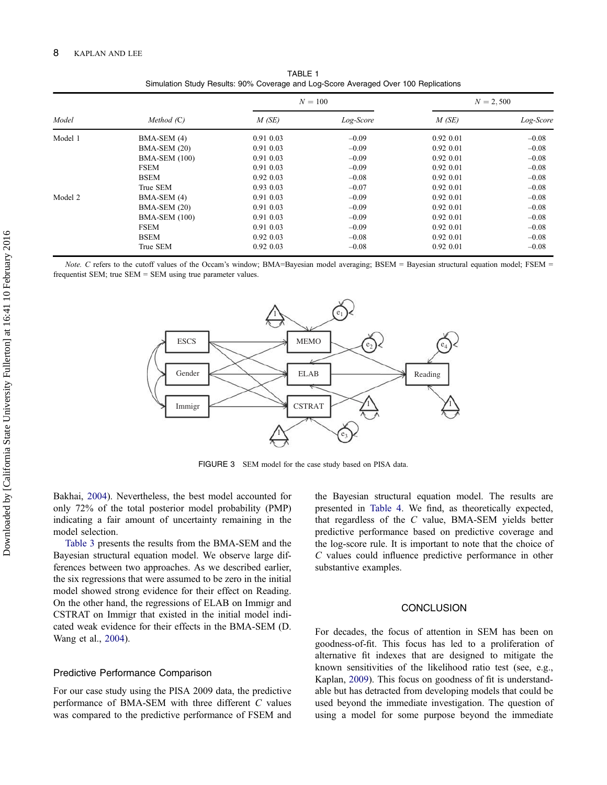| TABLE 1                                                                             |  |  |  |  |
|-------------------------------------------------------------------------------------|--|--|--|--|
| Simulation Study Results: 90% Coverage and Log-Score Averaged Over 100 Replications |  |  |  |  |

<span id="page-7-0"></span>

|         | Method $(C)$         | $N = 100$    |           | $N = 2,500$  |           |
|---------|----------------------|--------------|-----------|--------------|-----------|
| Model   |                      | M(SE)        | Log-Score | M(SE)        | Log-Score |
| Model 1 | BMA-SEM (4)          | 0.91 0.03    | $-0.09$   | 0.92 0.01    | $-0.08$   |
|         | BMA-SEM (20)         | 0.91 0.03    | $-0.09$   | 0.92 0.01    | $-0.08$   |
|         | <b>BMA-SEM (100)</b> | 0.91 0.03    | $-0.09$   | 0.92 0.01    | $-0.08$   |
|         | <b>FSEM</b>          | 0.91 0.03    | $-0.09$   | 0.92 0.01    | $-0.08$   |
|         | <b>BSEM</b>          | $0.92\ 0.03$ | $-0.08$   | 0.92 0.01    | $-0.08$   |
|         | True SEM             | 0.93 0.03    | $-0.07$   | 0.92 0.01    | $-0.08$   |
| Model 2 | BMA-SEM (4)          | 0.91 0.03    | $-0.09$   | $0.92\ 0.01$ | $-0.08$   |
|         | BMA-SEM (20)         | 0.91 0.03    | $-0.09$   | 0.92 0.01    | $-0.08$   |
|         | <b>BMA-SEM (100)</b> | 0.91 0.03    | $-0.09$   | $0.92\ 0.01$ | $-0.08$   |
|         | <b>FSEM</b>          | 0.91 0.03    | $-0.09$   | $0.92\ 0.01$ | $-0.08$   |
|         | <b>BSEM</b>          | $0.92\ 0.03$ | $-0.08$   | 0.92 0.01    | $-0.08$   |
|         | True SEM             | $0.92\ 0.03$ | $-0.08$   | $0.92\ 0.01$ | $-0.08$   |

Note. C refers to the cutoff values of the Occam's window; BMA=Bayesian model averaging; BSEM = Bayesian structural equation model; FSEM = frequentist SEM; true SEM = SEM using true parameter values.



FIGURE 3 SEM model for the case study based on PISA data.

Bakhai, [2004](#page-10-0)). Nevertheless, the best model accounted for only 72% of the total posterior model probability (PMP) indicating a fair amount of uncertainty remaining in the model selection.

[Table 3](#page-8-0) presents the results from the BMA-SEM and the Bayesian structural equation model. We observe large differences between two approaches. As we described earlier, the six regressions that were assumed to be zero in the initial model showed strong evidence for their effect on Reading. On the other hand, the regressions of ELAB on Immigr and CSTRAT on Immigr that existed in the initial model indicated weak evidence for their effects in the BMA-SEM (D. Wang et al., [2004\)](#page-10-0).

### Predictive Performance Comparison

For our case study using the PISA 2009 data, the predictive performance of BMA-SEM with three different C values was compared to the predictive performance of FSEM and the Bayesian structural equation model. The results are presented in [Table 4](#page-8-0). We find, as theoretically expected, that regardless of the C value, BMA-SEM yields better predictive performance based on predictive coverage and the log-score rule. It is important to note that the choice of C values could influence predictive performance in other substantive examples.

## **CONCLUSION**

For decades, the focus of attention in SEM has been on goodness-of-fit. This focus has led to a proliferation of alternative fit indexes that are designed to mitigate the known sensitivities of the likelihood ratio test (see, e.g., Kaplan, [2009](#page-9-0)). This focus on goodness of fit is understandable but has detracted from developing models that could be used beyond the immediate investigation. The question of using a model for some purpose beyond the immediate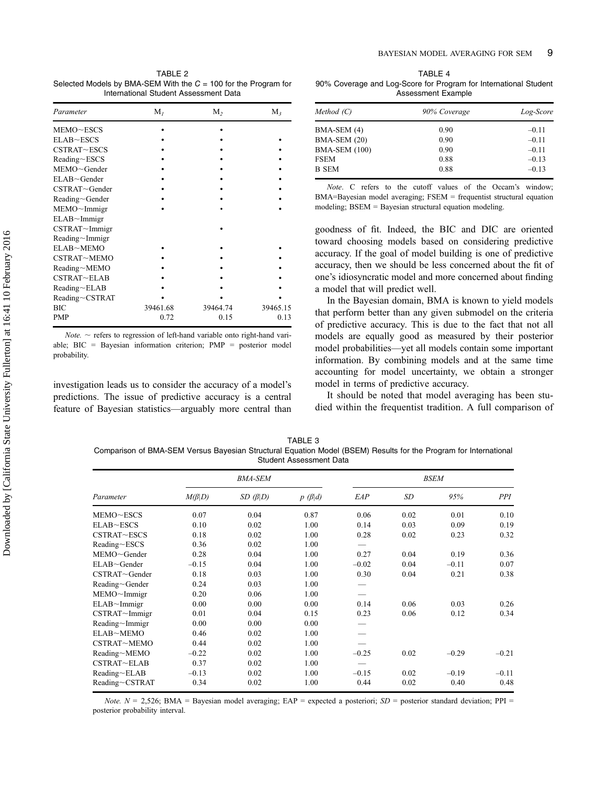<span id="page-8-0"></span>TABLE 2 Selected Models by BMA-SEM With the  $C = 100$  for the Program for International Student Assessment Data

| Parameter            | $M_l$    | $M_{2}$  | $M_{3}$  |  |
|----------------------|----------|----------|----------|--|
| MEMO~ESCS            |          |          |          |  |
| $ELAB \sim ESCS$     |          |          |          |  |
| $CSTRAT \sim ESCS$   |          |          |          |  |
| $Reading \sim ESCS$  |          |          |          |  |
| MEMO~Gender          |          |          |          |  |
| $ELAB \sim$ Gender   |          |          |          |  |
| CSTRAT~Gender        |          |          |          |  |
| Reading~Gender       |          |          |          |  |
| MEMO~Immigr          |          |          |          |  |
| ELAB~Immigr          |          |          |          |  |
| $CSTRAT \sim Immigr$ |          |          |          |  |
| $Reading~<$ Immigr   |          |          |          |  |
| ELAB~MEMO            |          |          |          |  |
| CSTRAT~MEMO          |          |          |          |  |
| Reading~MEMO         |          |          |          |  |
| $CSTRAT \sim ELAB$   |          |          |          |  |
| Reading~ELAB         |          |          |          |  |
| Reading~CSTRAT       |          |          |          |  |
| <b>BIC</b>           | 39461.68 | 39464.74 | 39465.15 |  |
| PMP                  | 0.72     | 0.15     | 0.13     |  |

*Note.*  $\sim$  refers to regression of left-hand variable onto right-hand variable; BIC = Bayesian information criterion; PMP = posterior model probability.

investigation leads us to consider the accuracy of a model's predictions. The issue of predictive accuracy is a central feature of Bayesian statistics—arguably more central than

TABLE 4 90% Coverage and Log-Score for Program for International Student Assessment Example

| Method $(C)$         | 90% Coverage | Log-Score |
|----------------------|--------------|-----------|
| BMA-SEM (4)          | 0.90         | $-0.11$   |
| BMA-SEM (20)         | 0.90         | $-0.11$   |
| <b>BMA-SEM (100)</b> | 0.90         | $-0.11$   |
| <b>FSEM</b>          | 0.88         | $-0.13$   |
| <b>B SEM</b>         | 0.88         | $-0.13$   |
|                      |              |           |

Note. C refers to the cutoff values of the Occam's window; BMA=Bayesian model averaging; FSEM = frequentist structural equation modeling; BSEM = Bayesian structural equation modeling.

goodness of fit. Indeed, the BIC and DIC are oriented toward choosing models based on considering predictive accuracy. If the goal of model building is one of predictive accuracy, then we should be less concerned about the fit of one's idiosyncratic model and more concerned about finding a model that will predict well.

In the Bayesian domain, BMA is known to yield models that perform better than any given submodel on the criteria of predictive accuracy. This is due to the fact that not all models are equally good as measured by their posterior model probabilities—yet all models contain some important information. By combining models and at the same time accounting for model uncertainty, we obtain a stronger model in terms of predictive accuracy.

It should be noted that model averaging has been studied within the frequentist tradition. A full comparison of

TABLE 3 Comparison of BMA-SEM Versus Bayesian Structural Equation Model (BSEM) Results for the Program for International Student Assessment Data

|                      | <b>BMA-SEM</b> |               |              | <b>BSEM</b>              |      |         |         |
|----------------------|----------------|---------------|--------------|--------------------------|------|---------|---------|
| Parameter            | $M(\beta D)$   | $SD(\beta D)$ | $p(\beta d)$ | EAP                      | SD   | 95%     | PPI     |
| MEMO~ESCS            | 0.07           | 0.04          | 0.87         | 0.06                     | 0.02 | 0.01    | 0.10    |
| ELAB~ESCS            | 0.10           | 0.02          | 1.00         | 0.14                     | 0.03 | 0.09    | 0.19    |
| $CSTRAT \sim ESCS$   | 0.18           | 0.02          | 1.00         | 0.28                     | 0.02 | 0.23    | 0.32    |
| $Reading \sim ESCS$  | 0.36           | 0.02          | 1.00         |                          |      |         |         |
| $MEMO \sim Gender$   | 0.28           | 0.04          | 1.00         | 0.27                     | 0.04 | 0.19    | 0.36    |
| $ELAB \sim$ Gender   | $-0.15$        | 0.04          | 1.00         | $-0.02$                  | 0.04 | $-0.11$ | 0.07    |
| $CSTRAT \sim$ Gender | 0.18           | 0.03          | 1.00         | 0.30                     | 0.04 | 0.21    | 0.38    |
| Reading~Gender       | 0.24           | 0.03          | 1.00         |                          |      |         |         |
| MEMO~Immigr          | 0.20           | 0.06          | 1.00         | $\overline{\phantom{0}}$ |      |         |         |
| $ELAB \sim Immigr$   | 0.00           | 0.00          | 0.00         | 0.14                     | 0.06 | 0.03    | 0.26    |
| $CSTRAT \sim Immigr$ | 0.01           | 0.04          | 0.15         | 0.23                     | 0.06 | 0.12    | 0.34    |
| Reading~T            | 0.00           | 0.00          | 0.00         |                          |      |         |         |
| ELAB~MEMO            | 0.46           | 0.02          | 1.00         | -                        |      |         |         |
| CSTRAT~MEMO          | 0.44           | 0.02          | 1.00         |                          |      |         |         |
| Reading~MEMO         | $-0.22$        | 0.02          | 1.00         | $-0.25$                  | 0.02 | $-0.29$ | $-0.21$ |
| $CSTRAT \sim ELAB$   | 0.37           | 0.02          | 1.00         |                          |      |         |         |
| Reading~ELAB         | $-0.13$        | 0.02          | 1.00         | $-0.15$                  | 0.02 | $-0.19$ | $-0.11$ |
| Reading~CSTRAT       | 0.34           | 0.02          | 1.00         | 0.44                     | 0.02 | 0.40    | 0.48    |

Note.  $N = 2,526$ ; BMA = Bayesian model averaging; EAP = expected a posteriori;  $SD$  = posterior standard deviation; PPI = posterior probability interval.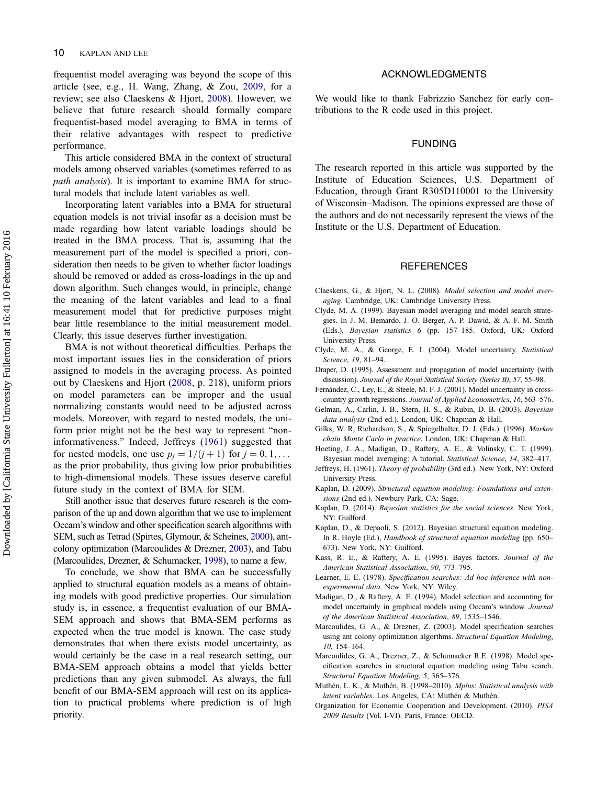<span id="page-9-0"></span>frequentist model averaging was beyond the scope of this article (see, e.g., H. Wang, Zhang, & Zou, [2009,](#page-10-0) for a review; see also Claeskens & Hjort, 2008). However, we believe that future research should formally compare frequentist-based model averaging to BMA in terms of their relative advantages with respect to predictive performance.

This article considered BMA in the context of structural models among observed variables (sometimes referred to as path analysis). It is important to examine BMA for structural models that include latent variables as well.

Incorporating latent variables into a BMA for structural equation models is not trivial insofar as a decision must be made regarding how latent variable loadings should be treated in the BMA process. That is, assuming that the measurement part of the model is specified a priori, consideration then needs to be given to whether factor loadings should be removed or added as cross-loadings in the up and down algorithm. Such changes would, in principle, change the meaning of the latent variables and lead to a final measurement model that for predictive purposes might bear little resemblance to the initial measurement model. Clearly, this issue deserves further investigation.

BMA is not without theoretical difficulties. Perhaps the most important issues lies in the consideration of priors assigned to models in the averaging process. As pointed out by Claeskens and Hjort (2008, p. 218), uniform priors on model parameters can be improper and the usual normalizing constants would need to be adjusted across models. Moreover, with regard to nested models, the uniform prior might not be the best way to represent "noninformativeness." Indeed, Jeffreys (1961) suggested that for nested models, one use  $p_i = 1/(i + 1)$  for  $j = 0, 1, \ldots$ as the prior probability, thus giving low prior probabilities to high-dimensional models. These issues deserve careful future study in the context of BMA for SEM.

Still another issue that deserves future research is the comparison of the up and down algorithm that we use to implement Occam's window and other specification search algorithms with SEM, such as Tetrad (Spirtes, Glymour, & Scheines, [2000\)](#page-10-0), antcolony optimization (Marcoulides & Drezner, 2003), and Tabu (Marcoulides, Drezner, & Schumacker, 1998), to name a few.

To conclude, we show that BMA can be successfully applied to structural equation models as a means of obtaining models with good predictive properties. Our simulation study is, in essence, a frequentist evaluation of our BMA-SEM approach and shows that BMA-SEM performs as expected when the true model is known. The case study demonstrates that when there exists model uncertainty, as would certainly be the case in a real research setting, our BMA-SEM approach obtains a model that yields better predictions than any given submodel. As always, the full benefit of our BMA-SEM approach will rest on its application to practical problems where prediction is of high priority.

#### ACKNOWLEDGMENTS

We would like to thank Fabrizzio Sanchez for early contributions to the R code used in this project.

## FUNDING

The research reported in this article was supported by the Institute of Education Sciences, U.S. Department of Education, through Grant R305D110001 to the University of Wisconsin–Madison. The opinions expressed are those of the authors and do not necessarily represent the views of the Institute or the U.S. Department of Education.

## **REFERENCES**

- Claeskens, G., & Hjort, N. L. (2008). Model selection and model averaging. Cambridge, UK: Cambridge University Press.
- Clyde, M. A. (1999). Bayesian model averaging and model search strategies. In J. M. Bemardo, J. O. Berger, A. P. Dawid, & A. F. M. Smith (Eds.), Bayesian statistics 6 (pp. 157–185. Oxford, UK: Oxford University Press.
- Clyde, M. A., & George, E. I. (2004). Model uncertainty. Statistical Science, 19, 81–94.
- Draper, D. (1995). Assessment and propagation of model uncertainty (with discussion). Journal of the Royal Statistical Society (Series B), 57, 55–98.
- Fernández, C., Ley, E., & Steele, M. F. J. (2001). Model uncertainty in crosscountry growth regressions. Journal of Applied Econometrics, 16, 563–576.
- Gelman, A., Carlin, J. B., Stern, H. S., & Rubin, D. B. (2003). Bayesian data analysis (2nd ed.). London, UK: Chapman & Hall.
- Gilks, W. R, Richardson, S., & Spiegelhalter, D. J. (Eds.). (1996). Markov chain Monte Carlo in practice. London, UK: Chapman & Hall.
- Hoeting, J. A., Madigan, D., Raftery, A. E., & Volinsky, C. T. (1999). Bayesian model averaging: A tutorial. Statistical Science, 14, 382–417.
- Jeffreys, H. (1961). Theory of probability (3rd ed.). New York, NY: Oxford University Press.
- Kaplan, D. (2009). Structural equation modeling: Foundations and extensions (2nd ed.). Newbury Park, CA: Sage.
- Kaplan, D. (2014). Bayesian statistics for the social sciences. New York, NY: Guilford.
- Kaplan, D., & Depaoli, S. (2012). Bayesian structural equation modeling. In R. Hoyle (Ed.), Handbook of structural equation modeling (pp. 650– 673). New York, NY: Guilford.
- Kass, R. E., & Raftery, A. E. (1995). Bayes factors. Journal of the American Statistical Association, 90, 773–795.
- Learner, E. E. (1978). Specification searches: Ad hoc inference with nonexperimental data. New York, NY: Wiley.
- Madigan, D., & Raftery, A. E. (1994). Model selection and accounting for model uncertainly in graphical models using Occam's window. Journal of the American Statistical Association, 89, 1535–1546.
- Marcoulides, G. A., & Drezner, Z. (2003). Model specification searches using ant colony optimization algorthms. Structural Equation Modeling, 10, 154–164.
- Marcoulides, G. A., Drezner, Z., & Schumacker R.E. (1998). Model specification searches in structural equation modeling using Tabu search. Structural Equation Modeling, 5, 365–376.
- Muthén, L. K., & Muthén, B. (1998–2010). Mplus: Statistical analysis with latent variables. Los Angeles, CA: Muthén & Muthén.
- Organization for Economic Cooperation and Development. (2010). PISA 2009 Results (Vol. I-VI). Paris, France: OECD.